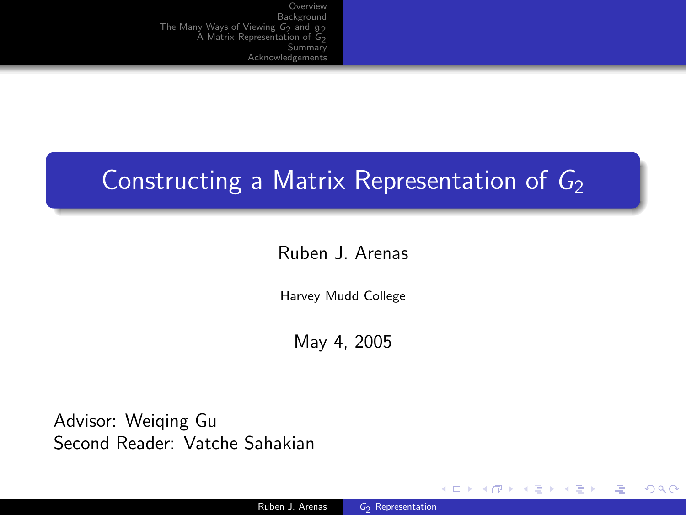### Constructing a Matrix Representation of  $G_2$

### Ruben J. Arenas

Harvey Mudd College

May 4, 2005

Advisor: Weiqing Gu Second Reader: Vatche Sahakian

 $2990$ 

画

<span id="page-0-0"></span>メロメ メ押メ メミメ メミメ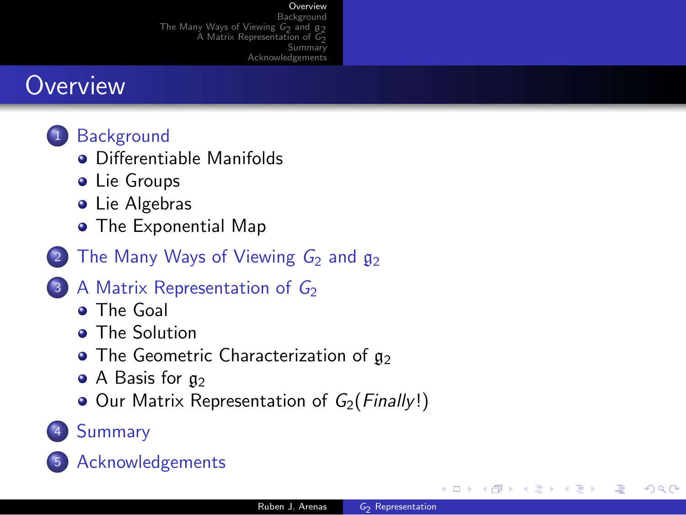#### [Overview](#page-1-0)

**[Background](#page-2-0)** The Many Ways of [Viewing](#page-6-0)  $G_2$  and  $g_2$ A Matrix [Representation](#page-9-0) of  $G_2$ [Summary](#page-14-0) [Acknowledgements](#page-15-0)

### **Overview**

- 1 [Background](#page-2-0)
	- **•** [Differentiable](#page-2-0) Manifolds
	- **•** Lie [Groups](#page-3-0)
	- **•** Lie [Algebras](#page-4-0)
	- The [Exponential](#page-5-0) Map
- The Many Ways of [Viewing](#page-6-0)  $G_2$  and  $g_2$
- 3 A Matrix [Representation](#page-9-0) of  $G_2$ 
	- **o** The [Goal](#page-9-0)
	- **The [Solution](#page-10-0)**
	- $\bullet$  The Geometric [Characterization](#page-11-0) of  $g_2$
	- $\bullet$  A [Basis](#page-12-0) for  $g_2$
	- $\bullet$  Our Matrix [Representation](#page-13-0) of  $G_2(Finally!)$
- 4 [Summary](#page-14-0)



<span id="page-1-0"></span>∢ロト ∢何ト ∢∃ ト ∢∃ ト

(三)

 $\Omega$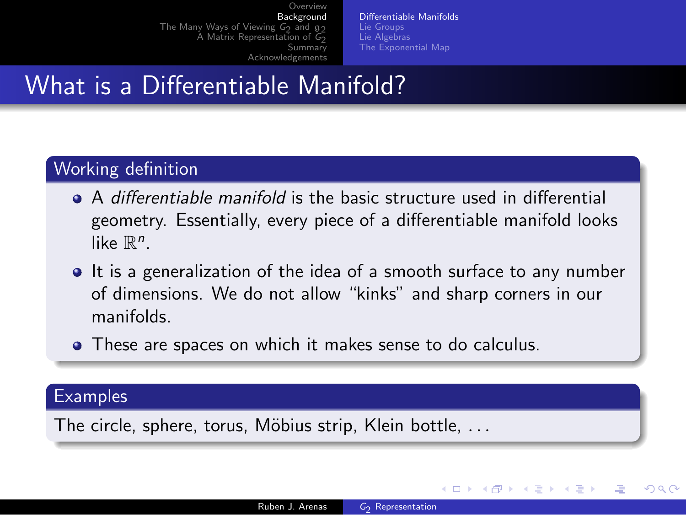[Differentiable](#page-2-0) Manifolds Lie [Groups](#page-3-0) Lie [Algebras](#page-4-0) The [Exponential](#page-5-0) Map

# What is a Differentiable Manifold?

#### Working definition

- A differentiable manifold is the basic structure used in differential geometry. Essentially, every piece of a differentiable manifold looks like  $\mathbb{R}^n$ .
- It is a generalization of the idea of a smooth surface to any number of dimensions. We do not allow "kinks" and sharp corners in our manifolds.
- These are spaces on which it makes sense to do calculus.

#### **Examples**

The circle, sphere, torus, Möbius strip, Klein bottle,  $\dots$ 

<span id="page-2-0"></span>メロメ メ押メ メミメ メミメ

 $209$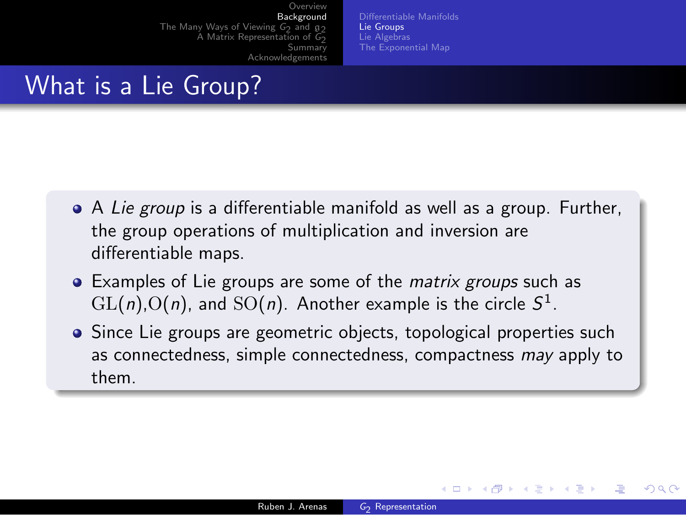[Differentiable](#page-2-0) Manifolds Lie [Groups](#page-3-0) Lie [Algebras](#page-4-0) The [Exponential](#page-5-0) Map

## What is a Lie Group?

- A Lie group is a differentiable manifold as well as a group. Further, the group operations of multiplication and inversion are differentiable maps.
- Examples of Lie groups are some of the *matrix groups* such as  $\mathrm{GL}(n)$ ,  $\mathrm{O}(n)$ , and  $\mathrm{SO}(n)$ . Another example is the circle  $S^1$ .
- Since Lie groups are geometric objects, topological properties such as connectedness, simple connectedness, compactness may apply to them.

<span id="page-3-0"></span>メロメ メ押メ メミメ メミメ

 $\Omega$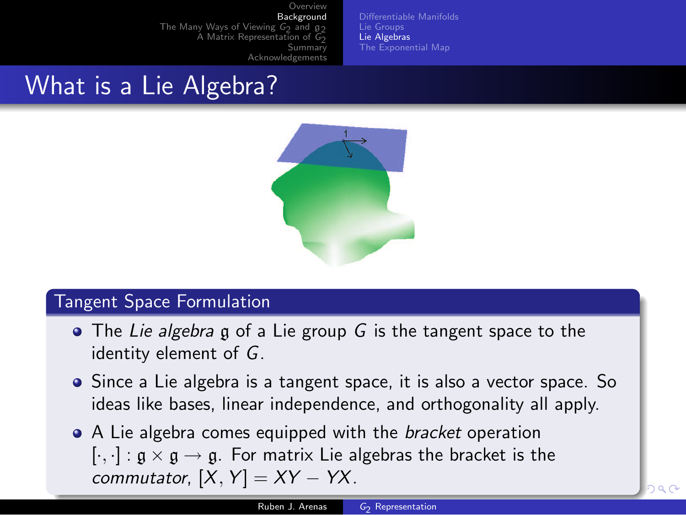[Differentiable](#page-2-0) Manifolds Lie [Groups](#page-3-0) Lie [Algebras](#page-4-0) The [Exponential](#page-5-0) Map

## What is a Lie Algebra?



#### Tangent Space Formulation

- The Lie algebra g of a Lie group G is the tangent space to the identity element of G.
- Since a Lie algebra is a tangent space, it is also a vector space. So ideas like bases, linear independence, and orthogonality all apply.
- <span id="page-4-0"></span>• A Lie algebra comes equipped with the *bracket* operation  $[\cdot,\cdot]: \mathfrak{g} \times \mathfrak{g} \to \mathfrak{g}$ . For matrix Lie algebras the bracket is the commutator,  $[X, Y] = XY - YX$ .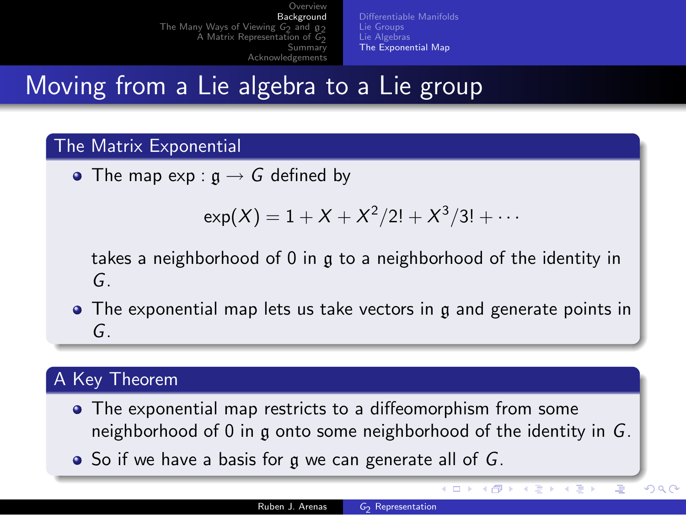[Differentiable](#page-2-0) Manifolds Lie [Groups](#page-3-0) Lie [Algebras](#page-4-0) The [Exponential](#page-5-0) Map

Moving from a Lie algebra to a Lie group

#### The Matrix Exponential

• The map  $exp: \mathfrak{g} \rightarrow G$  defined by

$$
\exp(X) = 1 + X + X^2/2! + X^3/3! + \cdots
$$

takes a neighborhood of 0 in g to a neighborhood of the identity in G.

• The exponential map lets us take vectors in g and generate points in G.

#### A Key Theorem

- The exponential map restricts to a diffeomorphism from some neighborhood of 0 in g onto some neighborhood of the identity in G.
- $\bullet$  So if we have a basis for g we can generate all of G.

<span id="page-5-0"></span> $($  ロ )  $($   $($  $)$   $)$   $($   $)$   $($   $)$   $($   $)$   $($   $)$   $($   $)$   $($   $)$   $($   $)$   $($   $)$   $($   $)$   $($   $)$   $($   $)$   $($   $)$   $($   $)$   $($   $)$   $($   $)$   $($   $)$   $($   $)$   $($   $)$   $($   $)$   $($   $)$   $($   $)$   $($   $)$   $($   $)$   $($   $)$   $($   $)$ 

Ξ

 $QQ$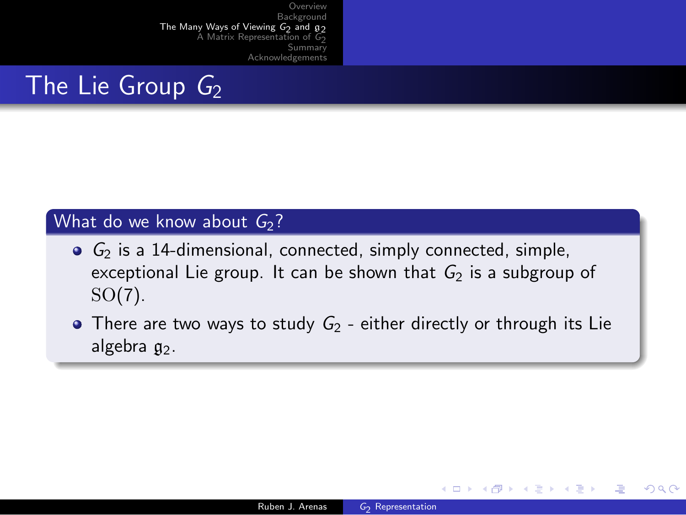

#### What do we know about  $G_2$ ?

- $G_2$  is a 14-dimensional, connected, simply connected, simple, exceptional Lie group. It can be shown that  $G_2$  is a subgroup of SO(7).
- There are two ways to study  $G_2$  either directly or through its Lie algebra  $a_2$ .

<span id="page-6-0"></span>イロメ イ母メ イヨメ イヨメー

(三)

 $\Omega$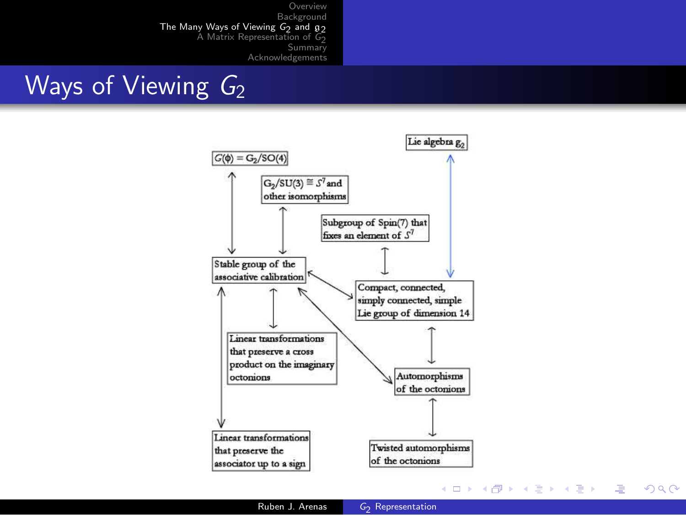### Ways of Viewing  $G_2$



 $\equiv$ 

 $QQ$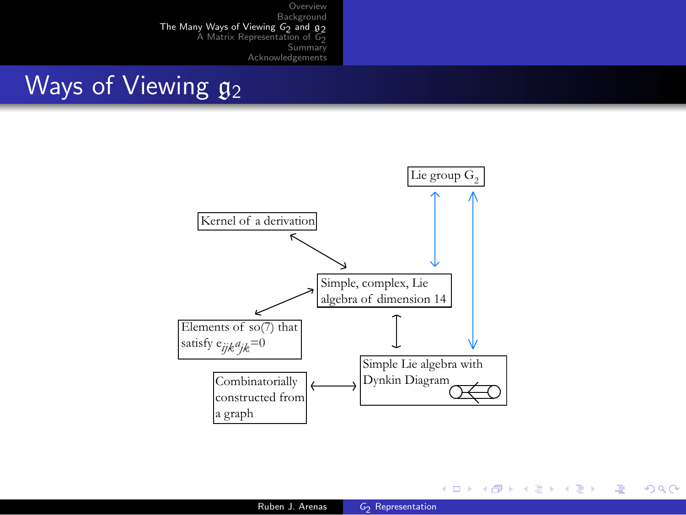# Ways of Viewing  $g_2$



メロメ メ御 メメ きょくきょう

造

 $299$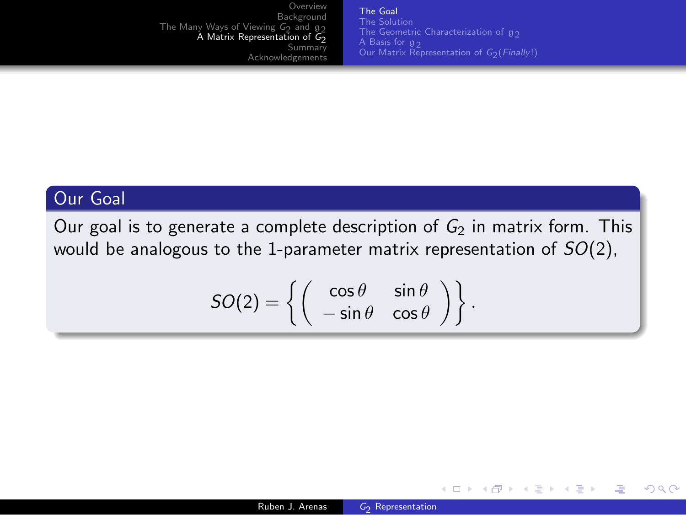[Overview](#page-1-0) [Background](#page-2-0) The Many Ways of [Viewing](#page-6-0) G<sub>2</sub> and g<sub>2</sub> y Ways of Viewing G<sub>2</sub> and g<sub>2</sub><br>A Matrix [Representation](#page-9-0) of G<sub>2</sub> [Summary](#page-14-0) [Acknowledgements](#page-15-0)

The [Goal](#page-9-0) The [Solution](#page-10-0) Our Matrix [Representation](#page-13-0) of G<sub>2</sub>(*Finally*!)

.

<span id="page-9-0"></span>メロメ メ押メ メミメ メミメ

 $2990$ 

画

#### Our Goal

Our goal is to generate a complete description of  $G_2$  in matrix form. This would be analogous to the 1-parameter matrix representation of  $SO(2)$ ,

$$
SO(2) = \left\{ \left( \begin{array}{cc} \cos \theta & \sin \theta \\ -\sin \theta & \cos \theta \end{array} \right) \right\}
$$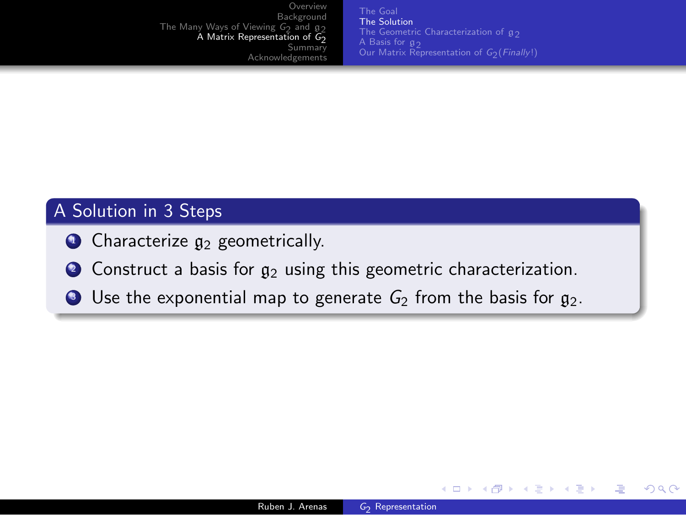[Overview](#page-1-0) [Background](#page-2-0) The Many Ways of [Viewing](#page-6-0) G<sub>2</sub> and g<sub>2</sub> y Ways of Viewing G<sub>2</sub> and g<sub>2</sub><br>A Matrix [Representation](#page-9-0) of G<sub>2</sub> [Summary](#page-14-0) [Acknowledgements](#page-15-0)

The [Goal](#page-9-0) The [Solution](#page-10-0) The Geometric [Characterization](#page-11-0) of  $g_2$ Our Matrix [Representation](#page-13-0) of G<sub>2</sub>(*Finally*!)

<span id="page-10-0"></span>イロメ イ母メ イヨメ イヨメー

(三)

 $\Omega$ 

#### A Solution in 3 Steps

- $\bullet$  Characterize  $g_2$  geometrically.
- $\bullet$  Construct a basis for  $g_2$  using this geometric characterization.
- $\bullet$  Use the exponential map to generate  $G_2$  from the basis for  $g_2$ .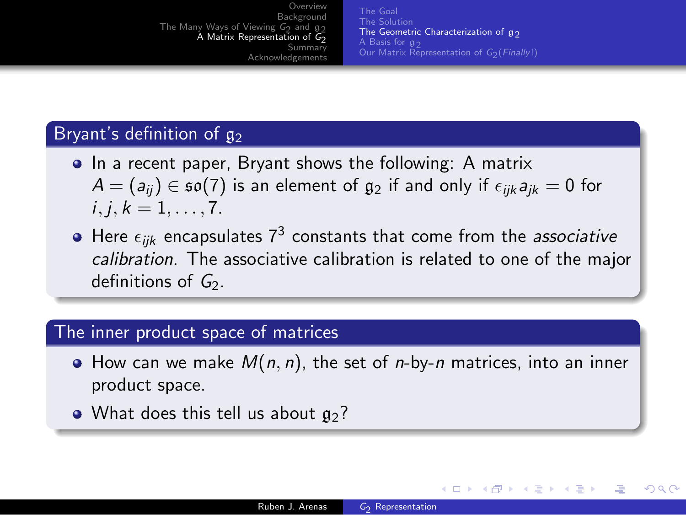The [Goal](#page-9-0) The [Solution](#page-10-0) The Geometric [Characterization](#page-11-0) of  $g_2$ <br>A Basis for  $g_2$ A [Basis](#page-12-0) for  $\mathfrak{g}_{2}$ <br>Our Matrix [Representation](#page-13-0) of G<sub>2</sub>(*Finally*!)

<span id="page-11-0"></span>イロメ イ母メ イヨメ イヨメー

遥

 $209$ 

#### Bryant's definition of  $g_2$

- In a recent paper, Bryant shows the following: A matrix  $A = (a_{ii}) \in \mathfrak{so}(7)$  is an element of  $\mathfrak{g}_2$  if and only if  $\epsilon_{ijk} a_{ik} = 0$  for  $i, j, k = 1, \ldots, 7$ .
- Here  $\epsilon_{ijk}$  encapsulates  $7^3$  constants that come from the *associative* calibration. The associative calibration is related to one of the major definitions of  $G_2$ .

#### The inner product space of matrices

- $\bullet$  How can we make  $M(n, n)$ , the set of *n*-by-*n* matrices, into an inner product space.
- What does this tell us about  $g_2$ ?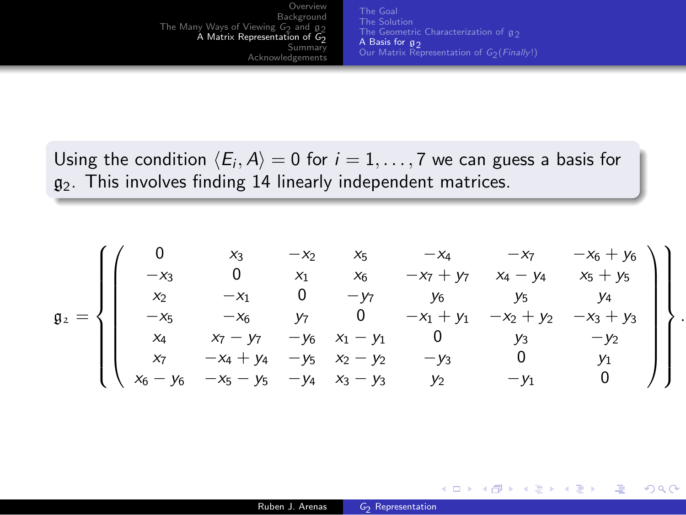**[Overview](#page-1-0)** [Background](#page-2-0) The Many Ways of [Viewing](#page-6-0) G<sub>2</sub> and g<sub>2</sub> y Ways of Viewing G<sub>2</sub> and g<sub>2</sub><br>A Matrix [Representation](#page-9-0) of G<sub>2</sub> [Summary](#page-14-0) [Acknowledgements](#page-15-0)

The [Goal](#page-9-0) The [Solution](#page-10-0) A [Basis](#page-12-0) for  $g_2$ Our Matrix [Representation](#page-13-0) of G<sub>2</sub>(*Finally*!)

<span id="page-12-0"></span>イロメ イ押メ イヨメ イヨメー

.

 $QQ$ GB 11

Using the condition  $\langle E_i,A\rangle = 0$  for  $i=1,\ldots, 7$  we can guess a basis for  $g_2$ . This involves finding 14 linearly independent matrices.

$$
\mathfrak{g}_2=\left\{\begin{pmatrix}0&x_3&-x_2&x_5&-x_4&-x_7&-x_6+y_6\\-x_3&0&x_1&x_6&-x_7+y_7&x_4-y_4&x_5+y_5\\x_2&-x_1&0&-y_7&y_6&y_5&y_4\\-x_5&-x_6&y_7&0&-x_1+y_1&-x_2+y_2&-x_3+y_3\\x_4&x_7-y_7&-y_6&x_1-y_1&0&y_3&-y_2\\x_7&-x_4+y_4&-y_5&x_2-y_2&-y_3&0&y_1\\x_6-y_6&-x_5-y_5&-y_4&x_3-y_3&y_2&-y_1&0\end{pmatrix}\right\}
$$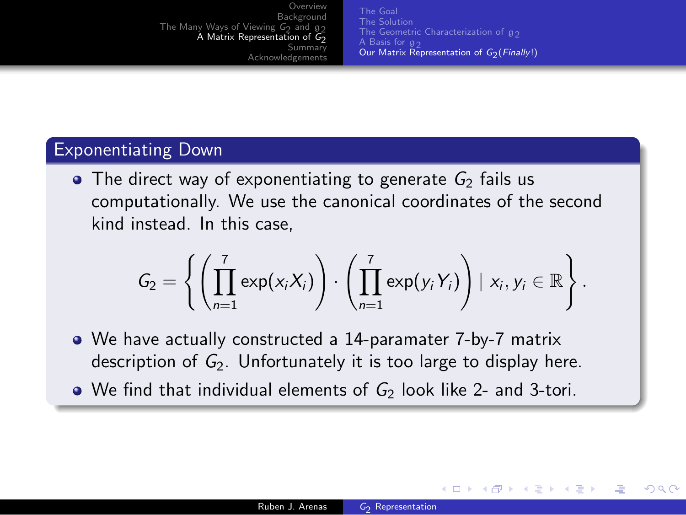The [Goal](#page-9-0) The [Solution](#page-10-0) The Geometric [Characterization](#page-11-0) of  $g_2$ <br>A Basis for  $g_2$ A [Basis](#page-12-0) for  $\mathfrak{g}_{2}$ <br>Our Matrix [Representation](#page-13-0) of G<sub>2</sub>(*Finally*!)

<span id="page-13-0"></span>イロト イ母 トイヨ トイヨ トー

(三)

 $\Omega$ 

#### Exponentiating Down

 $\bullet$  The direct way of exponentiating to generate  $G_2$  fails us computationally. We use the canonical coordinates of the second kind instead. In this case,

$$
G_2 = \left\{ \left( \prod_{n=1}^7 \exp(x_i X_i) \right) \cdot \left( \prod_{n=1}^7 \exp(y_i Y_i) \right) \mid x_i, y_i \in \mathbb{R} \right\}.
$$

- We have actually constructed a 14-paramater 7-by-7 matrix description of  $G_2$ . Unfortunately it is too large to display here.
- $\bullet$  We find that individual elements of  $G_2$  look like 2- and 3-tori.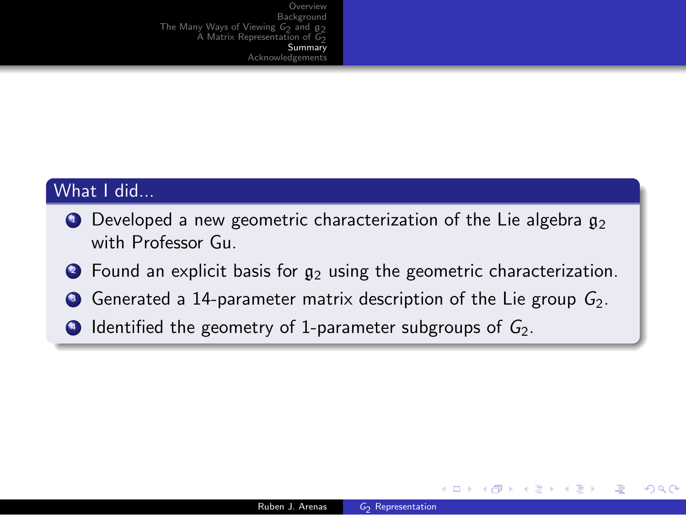[Overview](#page-1-0) **[Background](#page-2-0)** The Many Ways of [Viewing](#page-6-0)  $G_2$  and  $g_2$ iy Ways of Viewing G<sub>2</sub> and  $g_2$ <br>A Matrix [Representation](#page-9-0) of G<sub>2</sub> **[Summary](#page-14-0)** [Acknowledgements](#page-15-0)

#### What I did...

- $\bullet$  Developed a new geometric characterization of the Lie algebra  $g_2$ with Professor Gu.
- $\bullet$  Found an explicit basis for  $g_2$  using the geometric characterization.
- $\bullet$  Generated a 14-parameter matrix description of the Lie group  $G_2$ .
- $\bigcirc$  Identified the geometry of 1-parameter subgroups of  $G_2$ .

<span id="page-14-0"></span>イロメ イ母メ イヨメ イヨメー

 $\equiv$   $\cap$   $\alpha$